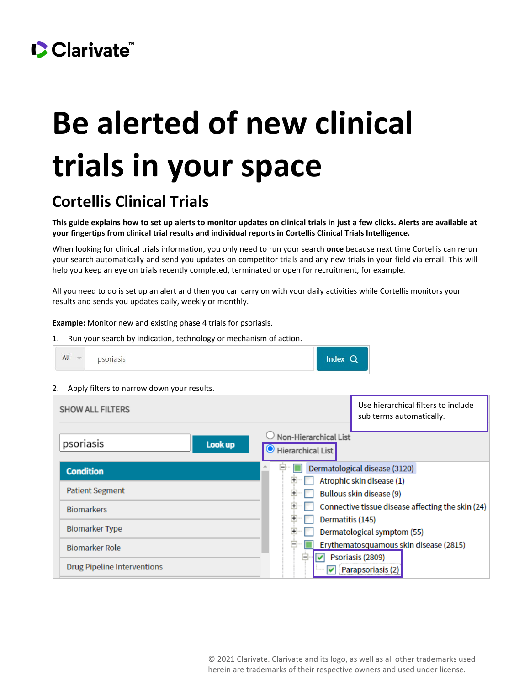## CClarivate

# **Be alerted of new clinical trials in your space**

### **Cortellis Clinical Trials**

**This guide explains how to set up alerts to monitor updates on clinical trials in just a few clicks. Alerts are available at your fingertips from clinical trial results and individual reports in Cortellis Clinical Trials Intelligence.**

When looking for clinical trials information, you only need to run your search **once** because next time Cortellis can rerun your search automatically and send you updates on competitor trials and any new trials in your field via email. This will help you keep an eye on trials recently completed, terminated or open for recruitment, for example.

All you need to do is set up an alert and then you can carry on with your daily activities while Cortellis monitors your results and sends you updates daily, weekly or monthly.

**Example:** Monitor new and existing phase 4 trials for psoriasis.

1. Run your search by indication, technology or mechanism of action.



2. Apply filters to narrow down your results.

| <b>SHOW ALL FILTERS</b>            | Use hierarchical filters to include<br>sub terms automatically.   |
|------------------------------------|-------------------------------------------------------------------|
| psoriasis<br>Look up               | Non-Hierarchical List<br>$\bullet$ Hierarchical List              |
| <b>Condition</b>                   | $\blacksquare$<br>Dermatological disease (3120)                   |
|                                    | Atrophic skin disease (1)                                         |
| <b>Patient Segment</b>             | Bullous skin disease (9)                                          |
| <b>Biomarkers</b>                  | Connective tissue disease affecting the skin (24)                 |
|                                    | 田<br>Dermatitis (145)                                             |
| <b>Biomarker Type</b>              | Dermatological symptom (55)                                       |
| <b>Biomarker Role</b>              | Erythematosquamous skin disease (2815)                            |
| <b>Drug Pipeline Interventions</b> | Psoriasis (2809)<br>$\overline{\phantom{a}}$<br>Parapsoriasis (2) |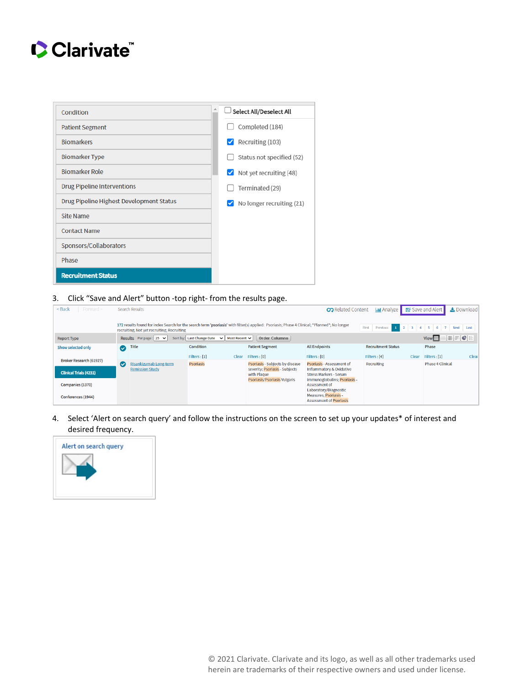### Clarivate

| Condition                                | Select All/Deselect All      |
|------------------------------------------|------------------------------|
| <b>Patient Segment</b>                   | Completed (184)              |
| <b>Biomarkers</b>                        | Recruiting (103)             |
| <b>Biomarker Type</b>                    | Status not specified (52)    |
| <b>Biomarker Role</b>                    | Not yet recruiting (48)<br>✓ |
| <b>Drug Pipeline Interventions</b>       | Terminated (29)              |
| Drug Pipeline Highest Development Status | No longer recruiting (21)    |
| Site Name                                |                              |
| <b>Contact Name</b>                      |                              |
| Sponsors/Collaborators                   |                              |
| Phase                                    |                              |
| <b>Recruitment Status</b>                |                              |

#### 3. Click "Save and Alert" button -top right- from the results page.

| $<$ Back<br>Forward $>$       |                                                                                                                                                                                                                                            | <b>Search Results</b>                            |                        |                                                                   | <b>CO</b> Related Content                                              | <b>In Analyze</b>         |       | Save and Alert          | Le Download |
|-------------------------------|--------------------------------------------------------------------------------------------------------------------------------------------------------------------------------------------------------------------------------------------|--------------------------------------------------|------------------------|-------------------------------------------------------------------|------------------------------------------------------------------------|---------------------------|-------|-------------------------|-------------|
|                               | 172 results found for index Search for the search term 'psoriasis' with filter(s) applied: Psoriasis; Phase 4 Clinical; "Planned"; No longer<br>Previous 1 2 3 4 5 6 7 Next<br>First<br>Last<br>recruiting; Not yet recruiting; Recruiting |                                                  |                        |                                                                   |                                                                        |                           |       |                         |             |
| <b>Report Type</b>            | HFCB<br>View <sup>H</sup><br>Sort by: Last Change Date $\vee$ Most Recent $\vee$<br>Results Perpage: $25 \times$<br><b>Order Columns</b>                                                                                                   |                                                  |                        |                                                                   |                                                                        |                           |       |                         |             |
| Show selected only            | $\bullet$                                                                                                                                                                                                                                  | <b>Title</b>                                     | Condition              | <b>Patient Segment</b>                                            | <b>All Endpoints</b>                                                   | <b>Recruitment Status</b> |       | Phase                   |             |
| Broker Research (61927)       |                                                                                                                                                                                                                                            |                                                  | Filters : [1]<br>Clear | Filters: [0]                                                      | Filters : [0]                                                          | Filters: [4]              | Clear | Filters : [1]           | Clear       |
|                               | Μ                                                                                                                                                                                                                                          | Risankizumab Long-term<br><b>Remission Study</b> | <b>Psoriasis</b>       | Psoriasis - Subjects by disease<br>severity; Psoriasis - Subjects | Psoriasis - Assessment of<br>Inflammatory & Oxidative                  | Recruiting                |       | <b>Phase 4 Clinical</b> |             |
| <b>Clinical Trials (4231)</b> |                                                                                                                                                                                                                                            |                                                  |                        | with Plague                                                       | <b>Stress Markers - Serum</b>                                          |                           |       |                         |             |
| Companies (1370)              |                                                                                                                                                                                                                                            |                                                  |                        | Psoriasis/Psoriasis Vulgaris                                      | immunoglobulins; Psoriasis -<br>Assessment of<br>Laboratory/Diagnostic |                           |       |                         |             |
| Conferences (1944)            |                                                                                                                                                                                                                                            |                                                  |                        |                                                                   | Measures; Psoriasis -<br><b>Assessment of Psoriasis</b>                |                           |       |                         |             |

4. Select 'Alert on search query' and follow the instructions on the screen to set up your updates\* of interest and desired frequency.

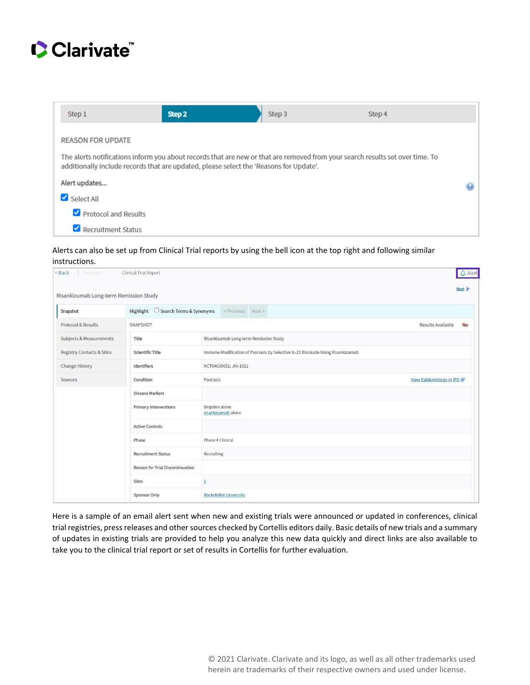

| Step 1                                                                                                                                                                                                                  | Step 2 | Step 3 | Step 4 |  |  |
|-------------------------------------------------------------------------------------------------------------------------------------------------------------------------------------------------------------------------|--------|--------|--------|--|--|
| <b>REASON FOR UPDATE</b>                                                                                                                                                                                                |        |        |        |  |  |
| The alerts notifications inform you about records that are new or that are removed from your search results set over time. To<br>additionally include records that are updated, please select the 'Reasons for Update'. |        |        |        |  |  |
| Alert updates                                                                                                                                                                                                           |        |        |        |  |  |
| Select All                                                                                                                                                                                                              |        |        |        |  |  |
| Protocol and Results                                                                                                                                                                                                    |        |        |        |  |  |
| Recruitment Status                                                                                                                                                                                                      |        |        |        |  |  |

Alerts can also be set up from Clinical Trial reports by using the bell icon at the top right and following similar instructions.

| $\Delta$ Alert<br><back<br>Clinical Trial Report<br/>Forward &gt;</back<br> |                                                                                                            |                                             |                                       |
|-----------------------------------------------------------------------------|------------------------------------------------------------------------------------------------------------|---------------------------------------------|---------------------------------------|
| Risankizumab Long-term Remission Study                                      |                                                                                                            |                                             | Next                                  |
| Snapshot                                                                    | Highlight □ Search Terms & Synonyms                                                                        | <previous next=""></previous>               |                                       |
| <b>Protocol &amp; Results</b>                                               | SNAPSHOT                                                                                                   |                                             | <b>Results Available</b><br><b>No</b> |
| Subjects & Measurements                                                     | Title<br>Risankizumab Long-term Remission Study                                                            |                                             |                                       |
| <b>Registry Contacts &amp; Sites</b>                                        | Immune Modification of Psoriasis by Selective IL-23 Blockade Using Risankizumab<br><b>Scientific Title</b> |                                             |                                       |
| <b>Change History</b>                                                       | Identifiers                                                                                                | NCT04630652; JKI-1011                       |                                       |
| Sources                                                                     | Condition                                                                                                  | View Epidemiology in IPD<br>Psoriasis       |                                       |
|                                                                             | <b>Disease Markers</b>                                                                                     |                                             |                                       |
|                                                                             | <b>Primary Interventions</b>                                                                               | <b>Biopsies alone</b><br>risankizumab alone |                                       |
|                                                                             | <b>Active Controls</b>                                                                                     |                                             |                                       |
|                                                                             | Phase                                                                                                      | Phase 4 Clinical                            |                                       |
|                                                                             | <b>Recruitment Status</b>                                                                                  | Recruiting                                  |                                       |
|                                                                             | <b>Reason for Trial Discontinuation</b>                                                                    |                                             |                                       |
|                                                                             | <b>Sites</b>                                                                                               | $\overline{1}$                              |                                       |
|                                                                             | <b>Sponsor Only</b>                                                                                        | <b>Rockefeller University</b>               |                                       |

Here is a sample of an email alert sent when new and existing trials were announced or updated in conferences, clinical trial registries, press releases and other sources checked by Cortellis editors daily. Basic details of new trials and a summary of updates in existing trials are provided to help you analyze this new data quickly and direct links are also available to take you to the clinical trial report or set of results in Cortellis for further evaluation.